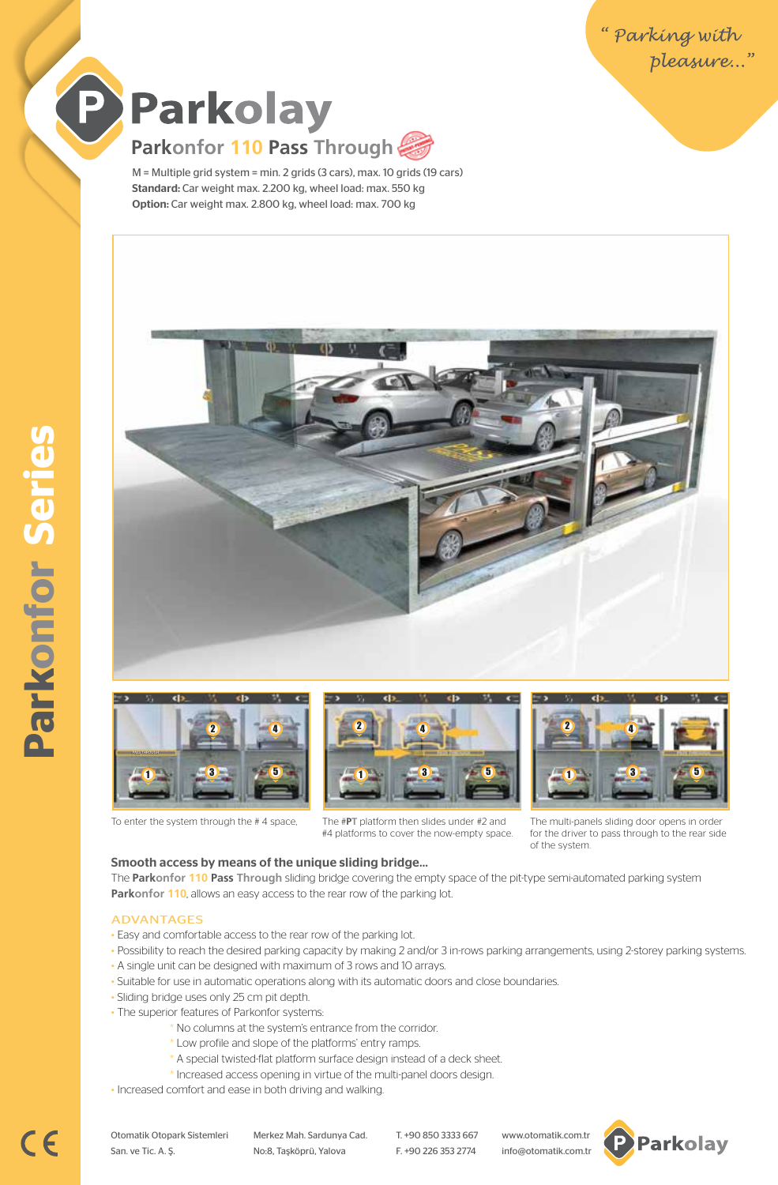**Parkonfor Series Parkonfor Series**

# Parkolay **Parkonfor 110 Pass Through**

M = Multiple grid system = min. 2 grids (3 cars), max. 10 grids (19 cars) Standard: Car weight max. 2.200 kg, wheel load: max. 550 kg Option: Car weight max. 2.800 kg, wheel load: max. 700 kg













2 4

#4 platforms to cover the now-empty space.

The multi-panels sliding door opens in order for the driver to pass through to the rear side of the system.

#### Smooth access by means of the unique sliding bridge…

The **Parkonfor 110 Pass Through** sliding bridge covering the empty space of the pit-type semi-automated parking system **Parkonfor 110**, allows an easy access to the rear row of the parking lot.

#### ADVANTAGES

- Easy and comfortable access to the rear row of the parking lot.
- Possibility to reach the desired parking capacity by making 2 and/or 3 in-rows parking arrangements, using 2-storey parking systems. • A single unit can be designed with maximum of 3 rows and 10 arrays.
- Suitable for use in automatic operations along with its automatic doors and close boundaries.
- Sliding bridge uses only 25 cm pit depth.
- The superior features of Parkonfor systems:
	- \* No columns at the system's entrance from the corridor.
	- \* Low profile and slope of the platforms' entry ramps.
	- \* A special twisted-flat platform surface design instead of a deck sheet.
	- \* Increased access opening in virtue of the multi-panel doors design.
- Increased comfort and ease in both driving and walking.

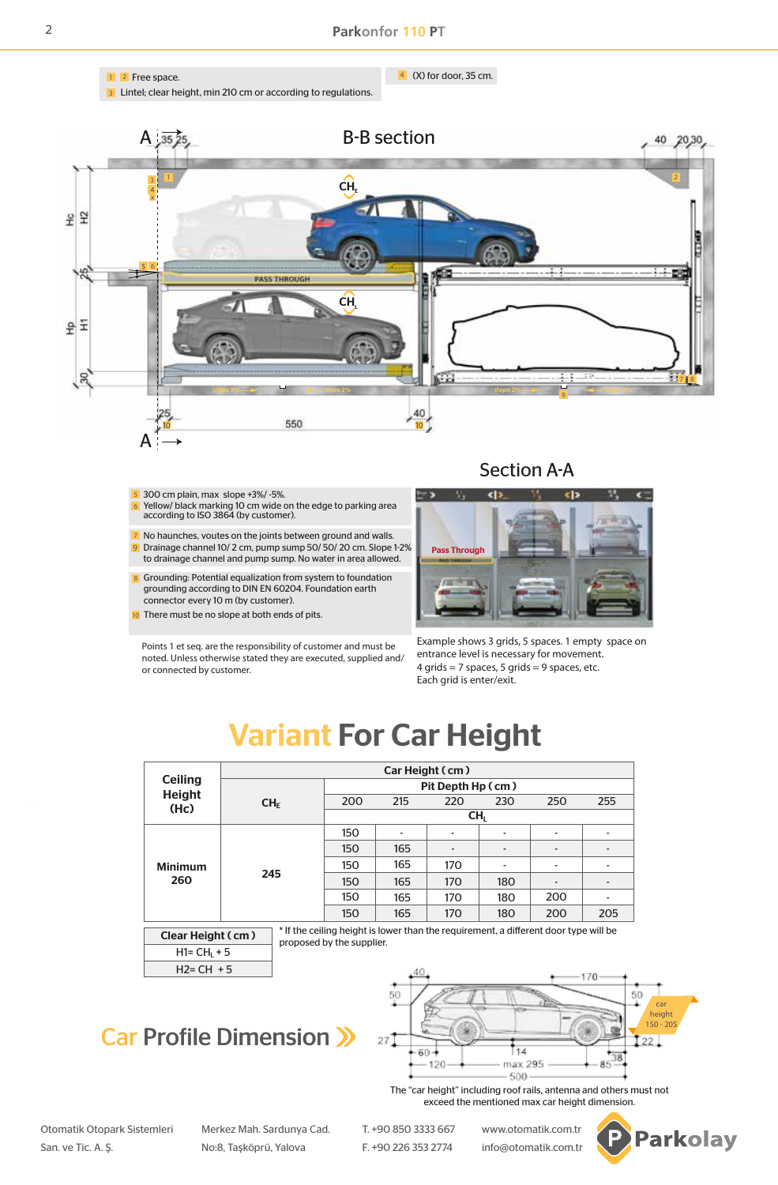

2

1 <mark>2</mark> Free space. The contract of the contract of the contract of the contract of the contract of the contract of the contract of the contract of the contract of the contract of the contract of the contract of the contract

<sup>3</sup> Lintel; clear height, min 210 cm or according to regulations.

 $\frac{4}{3}$  (X) for door, 35 cm.



- 300 cm plain, max slope +3%/ -5%. 5
- Yellow/ black marking 10 cm wide on the edge to parking area according to ISO 3864 (by customer). 6
- No haunches, voutes on the joints between ground and walls. Drainage channel 10/ 2 cm, pump sump 50/ 50/ 20 cm. Slope 1-2% to drainage channel and pump sump. No water in area allowed. 7 9
- Grounding: Potential equalization from system to foundation grounding according to DIN EN 60204. Foundation earth connector every 10 m (by customer). 8
- There must be no slope at both ends of pits. 10

Points 1 et seq. are the responsibility of customer and must be noted. Unless otherwise stated they are executed, supplied and/ or connected by customer.



Example shows 3 grids, 5 spaces. 1 empty space on entrance level is necessary for movement.  $4$  grids = 7 spaces, 5 grids = 9 spaces, etc. Each grid is enter/exit.

# Variant For Car Height

| <b>Ceiling</b><br><b>Height</b><br>(Hc) | Car Height (cm)      |                   |     |                          |                                    |                              |                          |  |  |  |
|-----------------------------------------|----------------------|-------------------|-----|--------------------------|------------------------------------|------------------------------|--------------------------|--|--|--|
|                                         |                      | Pit Depth Hp (cm) |     |                          |                                    |                              |                          |  |  |  |
|                                         | CH <sub>F</sub>      | 200               | 215 | 220                      | 230                                | 250                          | 255                      |  |  |  |
|                                         |                      | CH <sub>I</sub>   |     |                          |                                    |                              |                          |  |  |  |
| <b>Minimum</b><br>260                   | 245                  | 150               | ۰   | $\overline{\phantom{0}}$ | $\overline{\phantom{a}}$           | $\overline{\phantom{a}}$     | $\overline{\phantom{a}}$ |  |  |  |
|                                         |                      | 150               | 165 | $\overline{\phantom{0}}$ |                                    | $\qquad \qquad \blacksquare$ |                          |  |  |  |
|                                         |                      | 150               | 165 | 170                      | $\overline{\phantom{0}}$           | $\overline{\phantom{0}}$     | $\overline{\phantom{a}}$ |  |  |  |
|                                         |                      | 150               | 165 | 170                      | 180                                | $\overline{a}$               | $\overline{a}$           |  |  |  |
|                                         |                      | 150               | 165 | 170                      | 180                                | 200                          | $\blacksquare$           |  |  |  |
|                                         |                      | 150               | 165 | 170                      | 180                                | 200                          | 205                      |  |  |  |
|                                         | $\sim$ $\sim$ $\sim$ |                   |     | $\sim$                   | $\sim$ $\sim$ $\sim$ $\sim$ $\sim$ | .                            | .                        |  |  |  |

If the ceiling height is lower than the requirement, a different door type will be proposed by the supplier. Clear Height ( cm )

 $H2=CH + 5$  $H1=CH<sub>1</sub>+5$ 

### Car Profile Dimension >>>



The "car height" including roof rails, antenna and others must not exceed the mentioned max car height dimension.

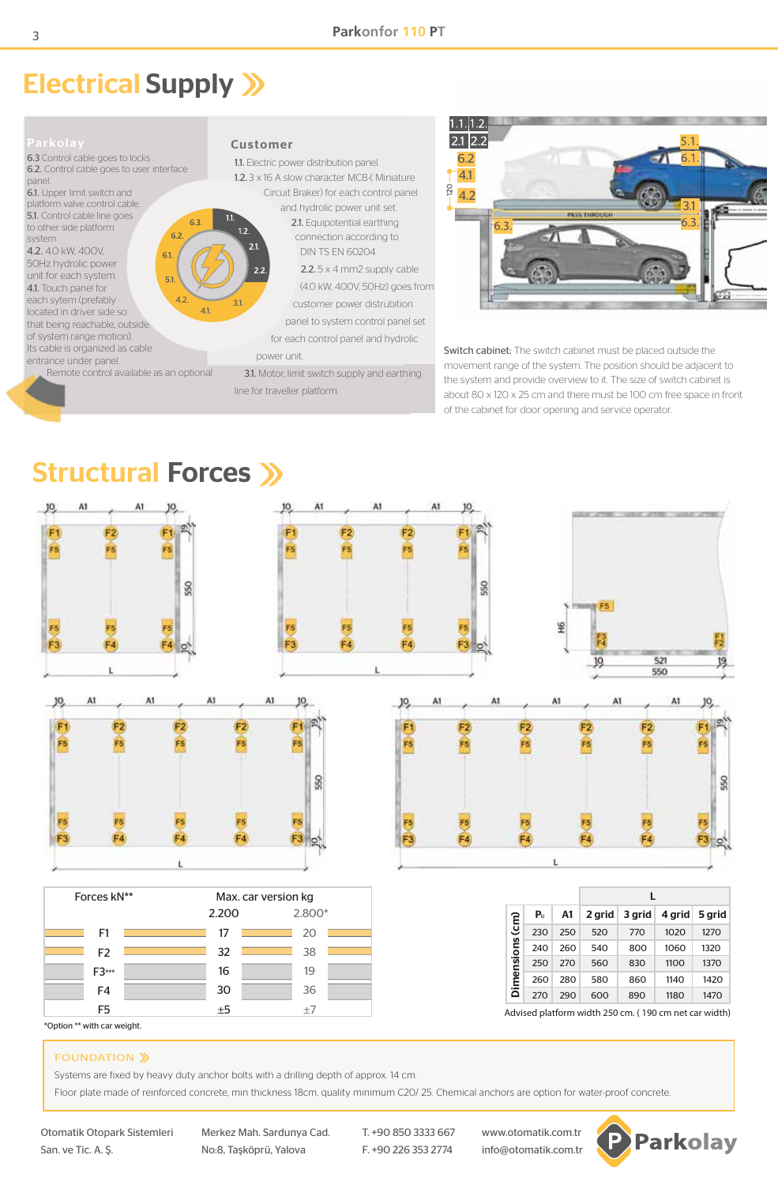### Electrical Supply >>

6.3 Control cable goes to locks . 6.2. Control cable goes to user interface panel. 6.1. Upper limit switch and platform valve control cable. 5.1. Control cable line goes 63 to other side platform  $62$ system 4.2. 4.0 kW, 400V, 6.1 50Hz hydrolic power unit for each system. 4.1. Touch panel for each sytem (prefably  $4.2.$  3.1. located in driver side so 4.1. that being reachable, outside of system range motion). Its cable is organized as cable entrance under panel. Remote control available as an optional

#### Customer

1.1. Electric power distribution panel. 1.2. 3 x 16 A slow character MCB-( Miniature Circuit Braker) for each control panel and hydrolic power unit set. 2.1. Equipotential earthing connection according to DIN TS EN 60204. 2.2. 5 x 4 mm2 supply cable (4.0 kW, 400V, 50Hz) goes from customer power distrubition panel to system control panel set for each control panel and hydrolic power unit.

 3.1. Motor, limit switch supply and earthing line for traveller platform.



Switch cabinet: The switch cabinet must be placed outside the movement range of the system. The position should be adjacent to the system and provide overview to it. The size of switch cabinet is about 80 x 120 x 25 cm and there must be 100 cm free space in front of the cabinet for door opening and service operator.

### Structural Forces >>



#### FOUNDATION >>

Systems are fixed by heavy duty anchor bolts with a drilling depth of approx. 14 cm.

Floor plate made of reinforced concrete, min thickness 18cm, quality minimum C20/ 25. Chemical anchors are option for water-proof concrete.

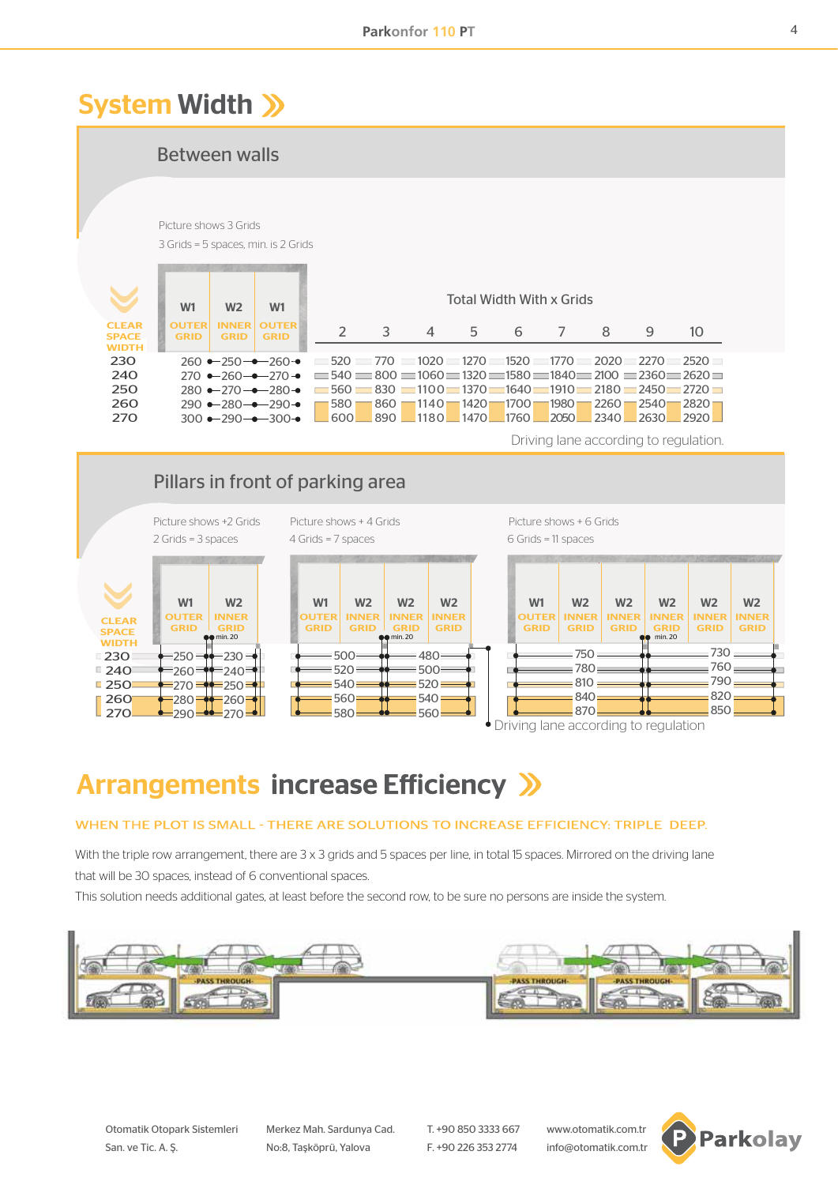### System Width >>>

Between walls

#### Picture shows 3 Grids 3 Grids = 5 spaces, min. is 2 Grids

| $\blacktriangledown$                          | W <sub>1</sub>       | W <sub>2</sub>              | W <sub>1</sub>              | Total Width With x Grids                                                                                                                                                                                                        |   |   |    |   |  |   |   |                                                                                         |
|-----------------------------------------------|----------------------|-----------------------------|-----------------------------|---------------------------------------------------------------------------------------------------------------------------------------------------------------------------------------------------------------------------------|---|---|----|---|--|---|---|-----------------------------------------------------------------------------------------|
| <b>CI FAR</b><br><b>SPACE</b><br><b>WIDTH</b> | OUTER<br><b>GRID</b> | <b>INNFR</b><br><b>GRID</b> | <b>OUTER</b><br><b>GRID</b> |                                                                                                                                                                                                                                 | 3 | 4 | 5. | 6 |  | 8 | 9 | 10                                                                                      |
| 230                                           |                      |                             |                             | $260 \rightarrow 250 \rightarrow -260 \rightarrow$ 520 770 1020 1270 1520 1770 2020 2270 2520 1                                                                                                                                 |   |   |    |   |  |   |   |                                                                                         |
| 240                                           |                      |                             |                             | 270 $\rightarrow$ -260 $\rightarrow$ -270 $\rightarrow$ = 540 = 800 = 1060 = 1320 = 1580 = 1840 = 2100 = 2360 = 2620 =                                                                                                          |   |   |    |   |  |   |   |                                                                                         |
| 250                                           |                      |                             |                             | 280 $\rightarrow$ 270 $\rightarrow$ -280 $\rightarrow$ 560 $\rightarrow$ 830 $\rightarrow$ 1100 $\rightarrow$ 1370 $\rightarrow$ 1640 $\rightarrow$ 1910 $\rightarrow$ 2180 $\rightarrow$ 2450 $\rightarrow$ 2720 $\rightarrow$ |   |   |    |   |  |   |   |                                                                                         |
| 260                                           |                      |                             | $290 - 280 - -290$          |                                                                                                                                                                                                                                 |   |   |    |   |  |   |   | <u> 580     860     1140     1420     1700     1980     2260     2540     2820     </u> |
| <b>270</b>                                    |                      |                             | $300 - 290 - 300 -$         | $\Box$ 600 $\Box$ 890 $\Box$ 1180 $\Box$ 1470 $\Box$ 1760 $\Box$ 2050 $\Box$ 2340 $\Box$ 2630 $\Box$ 2920 $\Box$                                                                                                                |   |   |    |   |  |   |   |                                                                                         |

Driving lane according to regulation.

#### 750 780  $-810:$ =840<mark>=</mark>  $-870$  $=730$ 760 790 820 850  $-230 -$ 240  $= 250$  $-260$  $\frac{2}{270}$  $-250 -$ 260  $-270 =$ 280  $-290 =$ **CLEAR**  SPACE **WIDTH**  230  $240$  $250$  260  $\sqrt{270}$ Pillars in front of parking area Picture shows +2 Grids Picture shows + 4 Grids Picture shows + 6 Grids 2 Grids = 3 spaces 4 Grids = 7 spaces 6 Grids = 11 spaces  $W2$   $W2$   $W2$   $W2$ 500  $= 520$  $= 540$ 560 580 480 500  $= 520$ 540 560 min. 20 **and 1.1 min. 20 min. 20 and 1.20 min. 20 min. 20 and 1.20 min. 20 min. 20** min. 20 **OUTER GRID** INNER  $min.20$ OUTER GRID **OUTER GRID** INNER **GRID** INNER  $\overline{\text{lin. 20}}$ INNER **GRID** INNER GRID INNER GRID INNER  $min.20$ INNER **GRID** INNER **GRID** W1 W2 W1 W2 W2 W2 W1 W2 W2 W2 W2 W2

Driving lane according to regulation

# **Arrangements increase Efficiency >>**

### WHEN THE PLOT IS SMALL - THERE ARE SOLUTIONS TO INCREASE EFFICIENCY: TRIPLE DEEP.

With the triple row arrangement, there are 3 x 3 grids and 5 spaces per line, in total 15 spaces. Mirrored on the driving lane that will be 30 spaces, instead of 6 conventional spaces.

This solution needs additional gates, at least before the second row, to be sure no persons are inside the system.



Otomatik Otopark Sistemleri Merkez Mah. Sardunya Cad. T. +90 850 3333 667 www.otomatik.com.tr

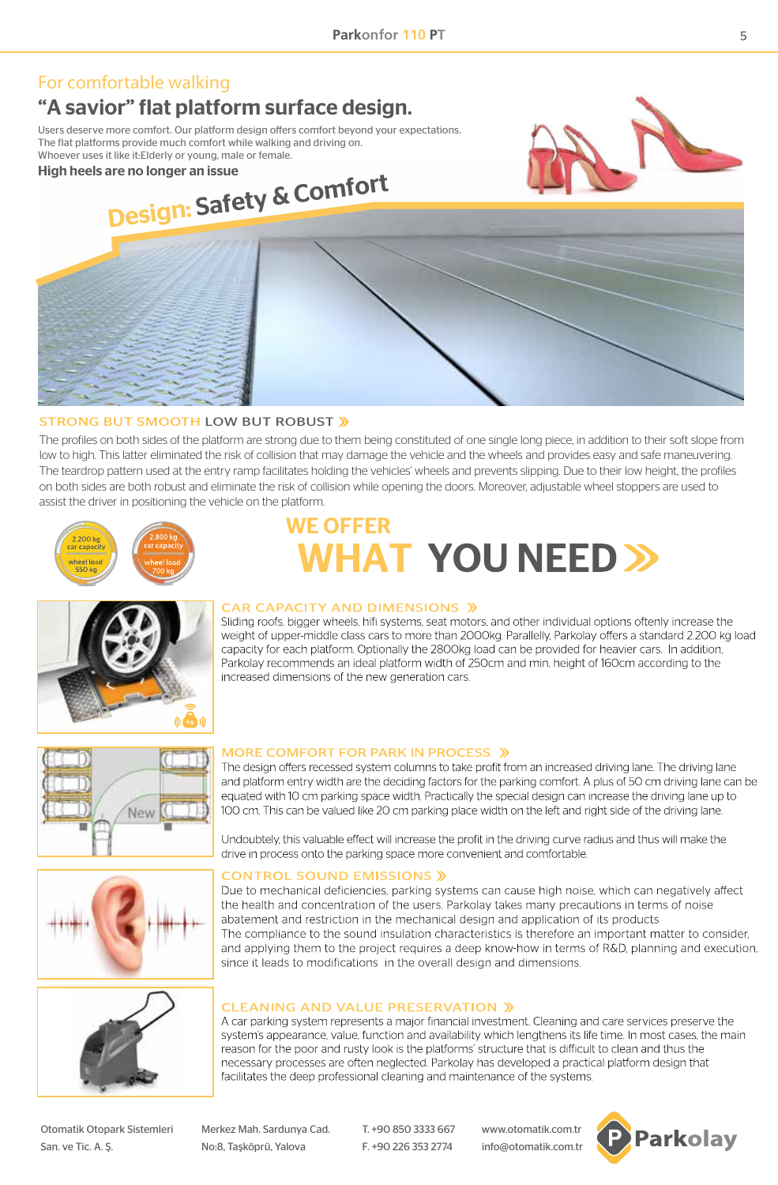### For comfortable walking

### "A savior" flat platform surface design.

Users deserve more comfort. Our platform design offers comfort beyond your expectations. The flat platforms provide much comfort while walking and driving on. Whoever uses it like it:Elderly or young, male or female.

High heels are no longer an issue





### STRONG BUT SMOOTH LOW BUT ROBUST »

The profiles on both sides of the platform are strong due to them being constituted of one single long piece, in addition to their soft slope from low to high. This latter eliminated the risk of collision that may damage the vehicle and the wheels and provides easy and safe maneuvering. The teardrop pattern used at the entry ramp facilitates holding the vehicles' wheels and prevents slipping. Due to their low height, the profiles on both sides are both robust and eliminate the risk of collision while opening the doors. Moreover, adjustable wheel stoppers are used to assist the driver in positioning the vehicle on the platform.



# **WE OFFER NHAT YOU NEED >>**



#### **CAR CAPACITY AND DIMENSIONS »**

Sliding roofs, bigger wheels, hifi systems, seat motors, and other individual options oftenly increase the weight of upper-middle class cars to more than 2000kg. Parallelly, Parkolay offers a standard 2.200 kg load capacity for each platform. Optionally the 2800kg load can be provided for heavier cars. In addition, Parkolay recommends an ideal platform width of 250cm and min, height of 160cm according to the increased dimensions of the new generation cars.



#### **MORE COMFORT FOR PARK IN PROCESS »**

The design offers recessed system columns to take profit from an increased driving lane. The driving lane and platform entry width are the deciding factors for the parking comfort. A plus of 50 cm driving lane can be equated with 10 cm parking space width. Practically the special design can increase the driving lane up to 100 cm. This can be valued like 20 cm parking place width on the left and right side of the driving lane.

Undoubtely, this valuable effect will increase the profit in the driving curve radius and thus will make the drive in process onto the parking space more convenient and comfortable.

#### **CONTROL SOUND EMISSIONS »**

Due to mechanical deficiencies, parking systems can cause high noise, which can negatively affect the health and concentration of the users. Parkolay takes many precautions in terms of noise abatement and restriction in the mechanical design and application of its products The compliance to the sound insulation characteristics is therefore an important matter to consider. and applying them to the project requires a deep know-how in terms of R&D, planning and execution, since it leads to modifications in the overall design and dimensions.



#### **CLEANING AND VALUE PRESERVATION »**

A car parking system represents a major financial investment. Cleaning and care services preserve the system's appearance, value, function and availability which lengthens its life time. In most cases, the main reason for the poor and rusty look is the platforms' structure that is difficult to clean and thus the necessary processes are often neglected. Parkolay has developed a practical platform design that facilitates the deep professional cleaning and maintenance of the systems.

San. ve Tic. A. Ş. No:8, Taşköprü, Yalova F. +90 226 353 2774 info@otomatik.com.tr

Otomatik Otopark Sistemleri Merkez Mah. Sardunya Cad. T. +90 850 3333 667 www.otomatik.com.tr

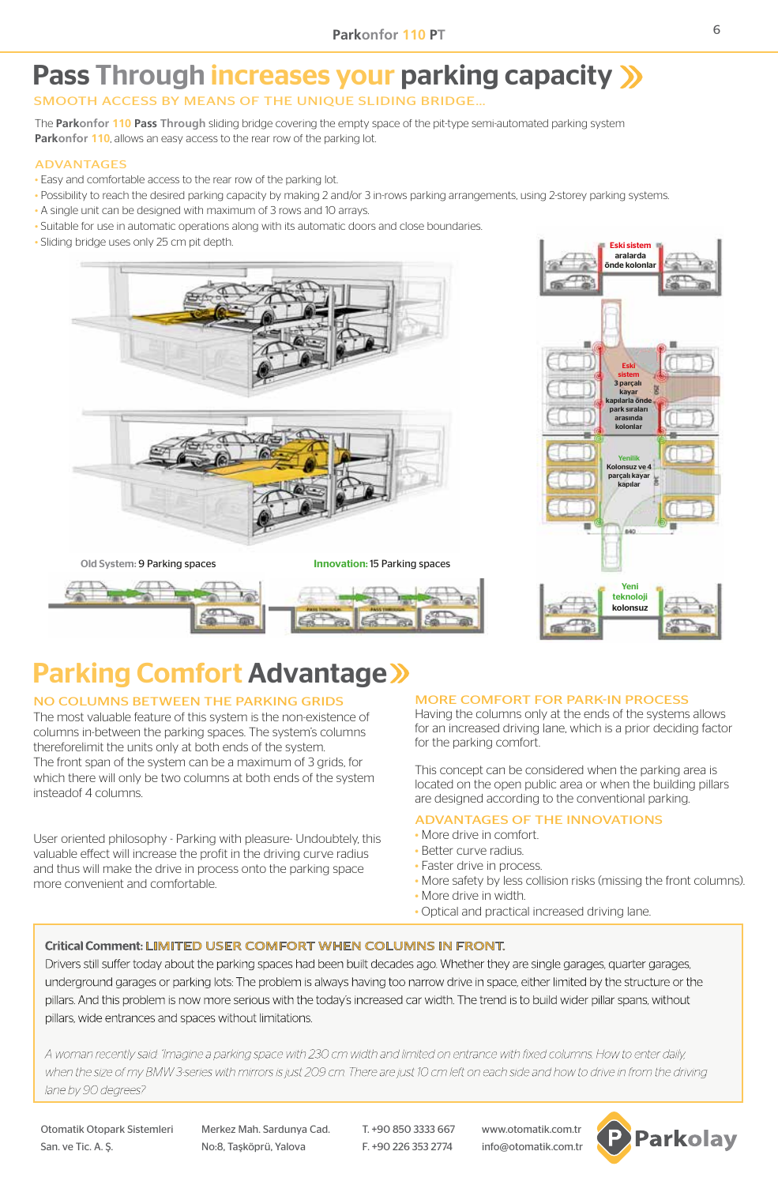# Pass Through increases your parking capacity >>>

### SMOOTH ACCESS BY MEANS OF THE UNIQUE SLIDING BRIDGE…

The **Parkonfor 110 Pass Through** sliding bridge covering the empty space of the pit-type semi-automated parking system **Parkonfor 110**, allows an easy access to the rear row of the parking lot.

#### ADVANTAGES

- Easy and comfortable access to the rear row of the parking lot.
- Possibility to reach the desired parking capacity by making 2 and/or 3 in-rows parking arrangements, using 2-storey parking systems.
- A single unit can be designed with maximum of 3 rows and 10 arrays.
- Suitable for use in automatic operations along with its automatic doors and close boundaries.
- Sliding bridge uses only 25 cm pit depth.





# Parking Comfort Advantage

#### NO COLUMNS BETWEEN THE PARKING GRIDS

The most valuable feature of this system is the non-existence of columns in-between the parking spaces. The system's columns thereforelimit the units only at both ends of the system. The front span of the system can be a maximum of 3 grids, for which there will only be two columns at both ends of the system insteadof 4 columns.

User oriented philosophy - Parking with pleasure- Undoubtely, this valuable effect will increase the profit in the driving curve radius and thus will make the drive in process onto the parking space more convenient and comfortable.

#### MORE COMFORT FOR PARK-IN PROCESS

Having the columns only at the ends of the systems allows for an increased driving lane, which is a prior deciding factor for the parking comfort.

This concept can be considered when the parking area is located on the open public area or when the building pillars are designed according to the conventional parking.

#### ADVANTAGES OF THE INNOVATIONS

- More drive in comfort.
- Better curve radius.
- Faster drive in process.
- More safety by less collision risks (missing the front columns).
- More drive in width.
- Optical and practical increased driving lane.

### Critical Comment: LIMITED USER COMFORT WHEN COLUMNS IN FRONT.

Drivers still suffer today about the parking spaces had been built decades ago. Whether they are single garages, quarter garages, underground garages or parking lots: The problem is always having too narrow drive in space, either limited by the structure or the pillars. And this problem is now more serious with the today's increased car width. The trend is to build wider pillar spans, without pillars, wide entrances and spaces without limitations.

A woman recently said: "Imagine a parking space with 230 cm width and limited on entrance with fixed columns. How to enter daily, when the size of my BMW 3-series with mirrors is just 209 cm. There are just 10 cm left on each side and how to drive in from the driving lane by 90 degrees?

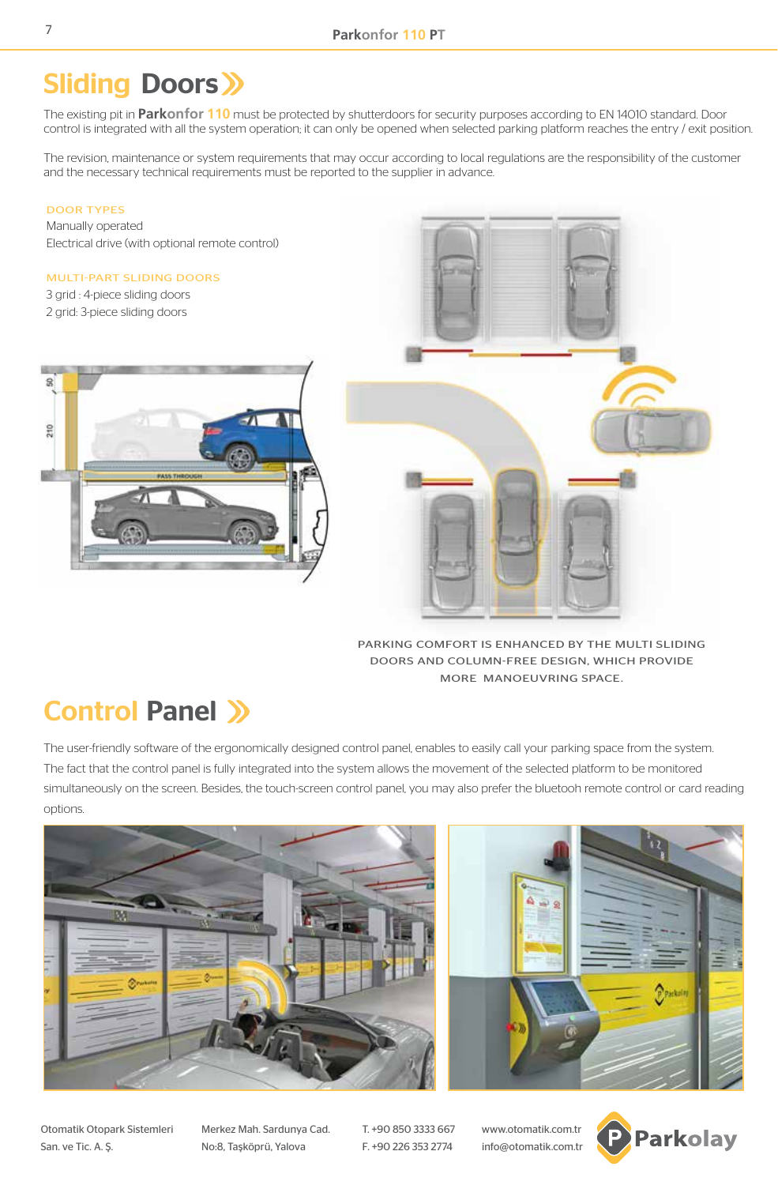### **Sliding Doors >>**

The existing pit in **Parkonfor 110** must be protected by shutterdoors for security purposes according to EN 14010 standard. Door control is integrated with all the system operation; it can only be opened when selected parking platform reaches the entry / exit position.

The revision, maintenance or system requirements that may occur according to local regulations are the responsibility of the customer and the necessary technical requirements must be reported to the supplier in advance.

#### DOOR TYPES

Manually operated Electrical drive (with optional remote control)

#### MULTI-PART SLIDING DOORS

3 grid : 4-piece sliding doors 2 grid: 3-piece sliding doors





PARKING COMFORT IS ENHANCED BY THE MULTI SLIDING DOORS AND COLUMN-FREE DESIGN, WHICH PROVIDE MORE MANOEUVRING SPACE.

### Control Panel >>>

The user-friendly software of the ergonomically designed control panel, enables to easily call your parking space from the system. The fact that the control panel is fully integrated into the system allows the movement of the selected platform to be monitored simultaneously on the screen. Besides, the touch-screen control panel, you may also prefer the bluetooh remote control or card reading options.